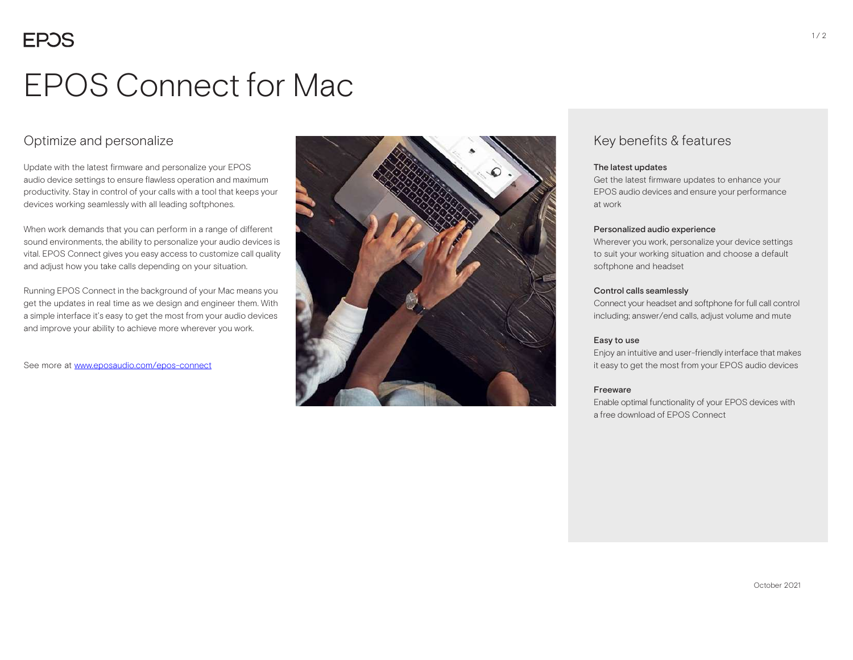# EPOS Connect for Mac

### Optimize and personalize

Update with the latest firmware and personalize your EPOS audio device settings to ensure flawless operation and maximum productivity. Stay in control of your calls with a tool that keeps your devices working seamlessly with all leading softphones.

When work demands that you can perform in a range of different sound environments, the ability to personalize your audio devices is vital. EPOS Connect gives you easy access to customize call quality and adjust how you take calls depending on your situation.

Running EPOS Connect in the background of your Mac means you get the updates in real time as we design and engineer them. With a simple interface it's easy to get the most from your audio devices and improve your ability to achieve more wherever you work.

See more at www.eposaudio.com/epos-connect



### Key benefits & features

#### The latest updates

Get the latest firmware updates to enhance your EPOS audio devices and ensure your performance at work

#### Personalized audio experience

Wherever you work, personalize your device settings to suit your working situation and choose a default softphone and headset

#### Control calls seamlessly

Connect your headset and softphone for full call control including; answer/end calls, adjust volume and mute

#### Easy to use

Enjoy an intuitive and user-friendly interface that makes it easy to get the most from your EPOS audio devices

#### Freeware

Enable optimal functionality of your EPOS devices with a free download of EPOS Connect